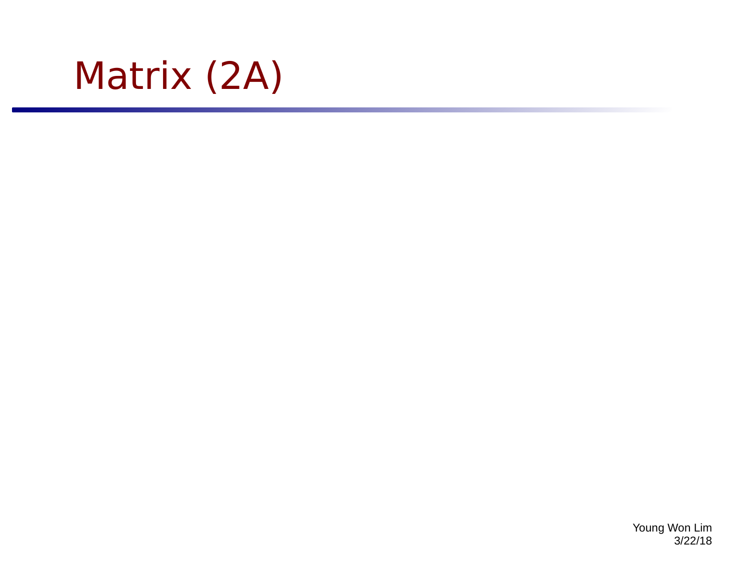

Young Won Lim 3/22/18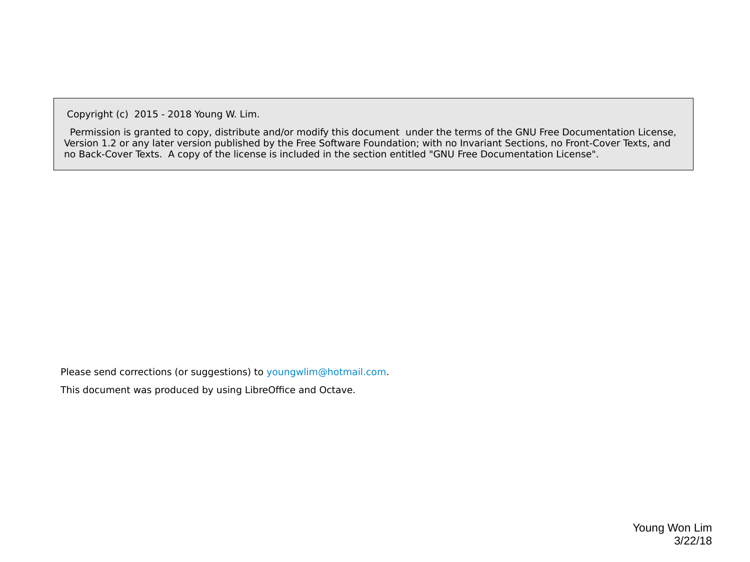Copyright (c) 2015 - 2018 Young W. Lim.

 Permission is granted to copy, distribute and/or modify this document under the terms of the GNU Free Documentation License, Version 1.2 or any later version published by the Free Software Foundation; with no Invariant Sections, no Front-Cover Texts, and no Back-Cover Texts. A copy of the license is included in the section entitled "GNU Free Documentation License".

Please send corrections (or suggestions) to [youngwlim@hotmail.com](mailto:youngwlim@hotmail.com).

This document was produced by using LibreOffice and Octave.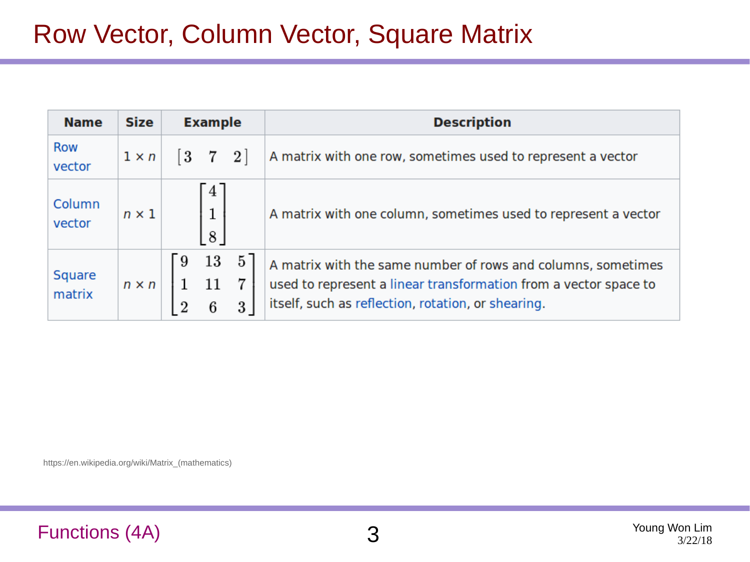| <b>Name</b>             | <b>Size</b>  | <b>Example</b>                            | <b>Description</b>                                                                                                                                                                     |  |  |  |  |
|-------------------------|--------------|-------------------------------------------|----------------------------------------------------------------------------------------------------------------------------------------------------------------------------------------|--|--|--|--|
| <b>Row</b><br>vector    | $1 \times n$ | $\begin{bmatrix} 3 & 7 & 2 \end{bmatrix}$ | A matrix with one row, sometimes used to represent a vector                                                                                                                            |  |  |  |  |
| Column<br>vector        | $n \times 1$ | 4<br>8                                    | A matrix with one column, sometimes used to represent a vector                                                                                                                         |  |  |  |  |
| <b>Square</b><br>matrix | $n \times n$ | 13<br>9                                   | A matrix with the same number of rows and columns, sometimes<br>used to represent a linear transformation from a vector space to<br>itself, such as reflection, rotation, or shearing. |  |  |  |  |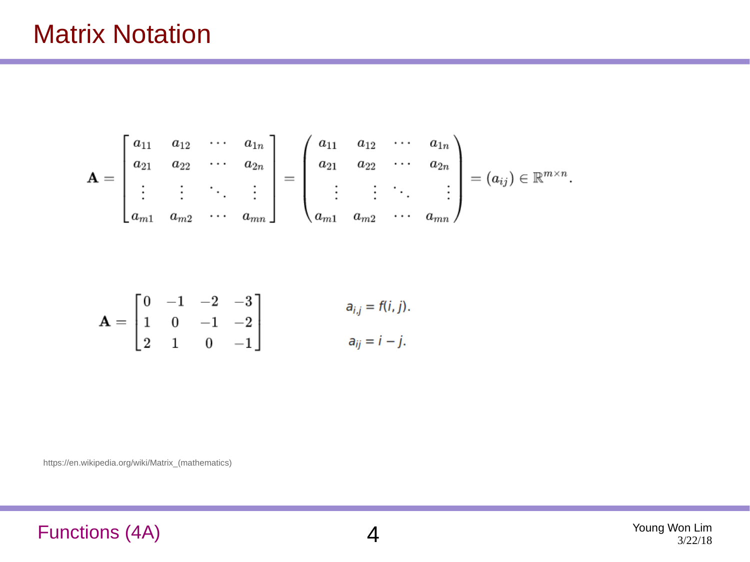$$
\mathbf{A} = \begin{bmatrix} a_{11} & a_{12} & \cdots & a_{1n} \\ a_{21} & a_{22} & \cdots & a_{2n} \\ \vdots & \vdots & \ddots & \vdots \\ a_{m1} & a_{m2} & \cdots & a_{mn} \end{bmatrix} = \begin{pmatrix} a_{11} & a_{12} & \cdots & a_{1n} \\ a_{21} & a_{22} & \cdots & a_{2n} \\ \vdots & \vdots & \ddots & \vdots \\ a_{m1} & a_{m2} & \cdots & a_{mn} \end{pmatrix} = (a_{ij}) \in \mathbb{R}^{m \times n}.
$$

$$
\mathbf{A} = \begin{bmatrix} 0 & -1 & -2 & -3 \\ 1 & 0 & -1 & -2 \\ 2 & 1 & 0 & -1 \end{bmatrix} \qquad \qquad a_{i,j} = f(i,j).
$$

https://en.wikipedia.org/wiki/Matrix\_(mathematics)

#### Functions (4A) 4

Young Won Lim 3/22/18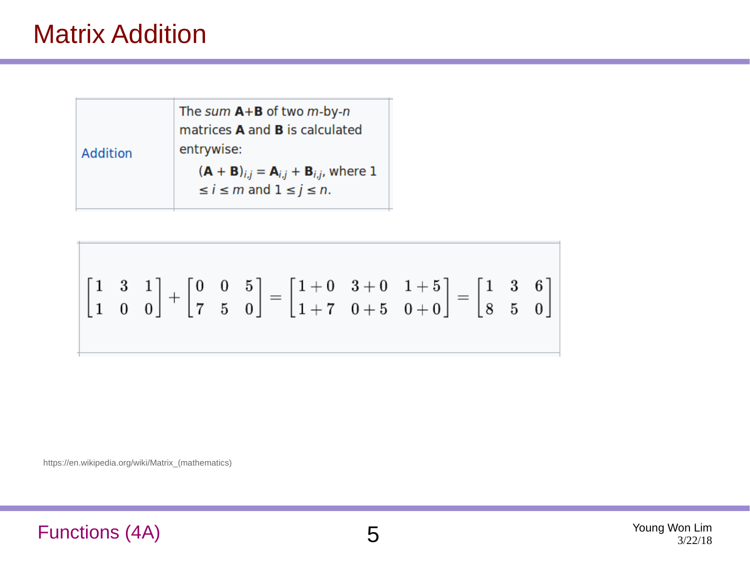### Matrix Addition

|  |          | The sum $A+B$ of two m-by-n                   |
|--|----------|-----------------------------------------------|
|  |          | matrices <b>A</b> and <b>B</b> is calculated  |
|  | Addition | entrywise:                                    |
|  |          | $(A + B)_{i,j} = A_{i,j} + B_{i,j}$ , where 1 |
|  |          | $\leq i \leq m$ and $1 \leq j \leq n$ .       |
|  |          |                                               |

$$
\begin{bmatrix} 1 & 3 & 1 \\ 1 & 0 & 0 \end{bmatrix} + \begin{bmatrix} 0 & 0 & 5 \\ 7 & 5 & 0 \end{bmatrix} = \begin{bmatrix} 1+0 & 3+0 & 1+5 \\ 1+7 & 0+5 & 0+0 \end{bmatrix} = \begin{bmatrix} 1 & 3 & 6 \\ 8 & 5 & 0 \end{bmatrix}
$$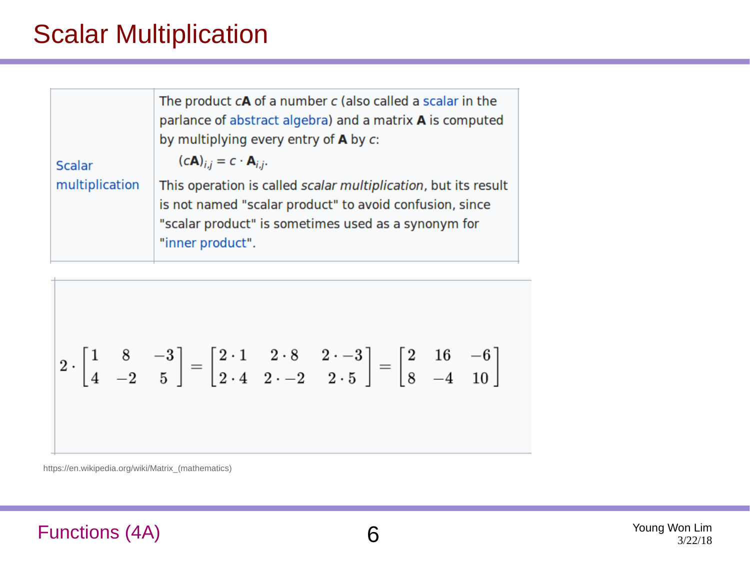### Scalar Multiplication

| <b>Scalar</b>  | The product $cA$ of a number $c$ (also called a scalar in the<br>parlance of abstract algebra) and a matrix A is computed<br>by multiplying every entry of $\bf{A}$ by $\bf{c}$ :<br>$(cA)_{i,j} = c \cdot A_{i,j}.$ |
|----------------|----------------------------------------------------------------------------------------------------------------------------------------------------------------------------------------------------------------------|
| multiplication | This operation is called scalar multiplication, but its result<br>is not named "scalar product" to avoid confusion, since<br>"scalar product" is sometimes used as a synonym for<br>"inner product".                 |

$$
2 \cdot \begin{bmatrix} 1 & 8 & -3 \\ 4 & -2 & 5 \end{bmatrix} = \begin{bmatrix} 2 \cdot 1 & 2 \cdot 8 & 2 \cdot -3 \\ 2 \cdot 4 & 2 \cdot -2 & 2 \cdot 5 \end{bmatrix} = \begin{bmatrix} 2 & 16 & -6 \\ 8 & -4 & 10 \end{bmatrix}
$$

https://en.wikipedia.org/wiki/Matrix\_(mathematics)

#### Functions (4A) 6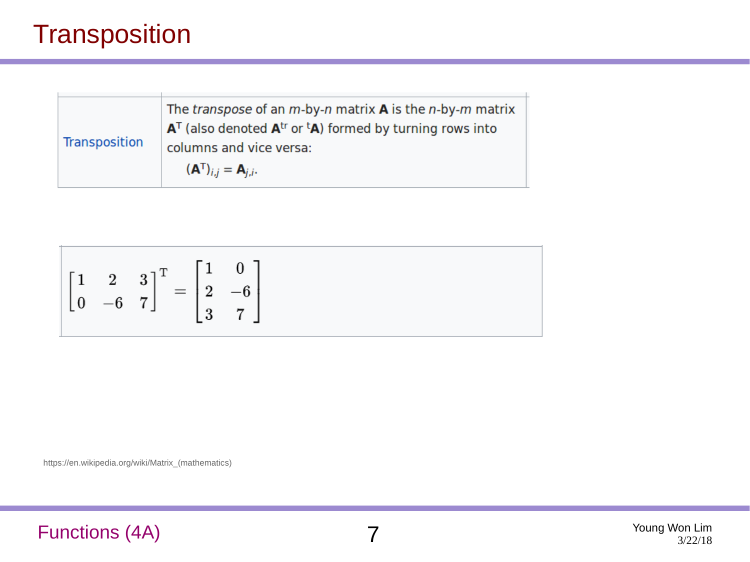### **Transposition**

| The <i>transpose</i> of an $m$ -by-n matrix <b>A</b> is the $n$ -by-m matrix<br>$AT$ (also denoted $Atr$ or <sup>t</sup> A) formed by turning rows into |
|---------------------------------------------------------------------------------------------------------------------------------------------------------|
| columns and vice versa:                                                                                                                                 |
| $({\bf A}^{T})_{i,i}={\bf A}_{i,i}.$                                                                                                                    |
|                                                                                                                                                         |

$$
\begin{bmatrix} 1 & 2 & 3 \ 0 & -6 & 7 \end{bmatrix}^{\mathrm{T}} = \begin{bmatrix} 1 & 0 \\ 2 & -6 \\ 3 & 7 \end{bmatrix}
$$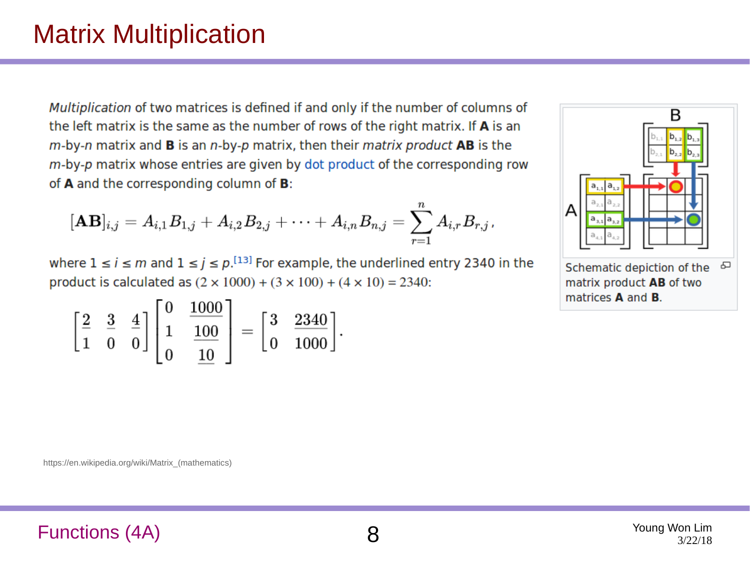### Matrix Multiplication

Multiplication of two matrices is defined if and only if the number of columns of the left matrix is the same as the number of rows of the right matrix. If A is an  $m$ -by-n matrix and **B** is an  $n$ -by-p matrix, then their matrix product **AB** is the m-by-p matrix whose entries are given by dot product of the corresponding row of A and the corresponding column of B:

$$
[\mathbf{A}\mathbf{B}]_{i,j}=A_{i,1}B_{1,j}+A_{i,2}B_{2,j}+\cdots+A_{i,n}B_{n,j}=\sum_{r=1}^nA_{i,r}B_{r,j}\text{,}
$$

where  $1 \le i \le m$  and  $1 \le j \le p$ . <sup>[13]</sup> For example, the underlined entry 2340 in the product is calculated as  $(2 \times 1000) + (3 \times 100) + (4 \times 10) = 2340$ :

$$
\begin{bmatrix} 2 & 3 & 4 \ 1 & 0 & 0 \end{bmatrix} \begin{bmatrix} 0 & \frac{1000}{1} \\ 1 & \frac{100}{10} \end{bmatrix} = \begin{bmatrix} 3 & \frac{2340}{1000} \end{bmatrix}.
$$



Schematic depiction of the க matrix product AB of two matrices **A** and **B**.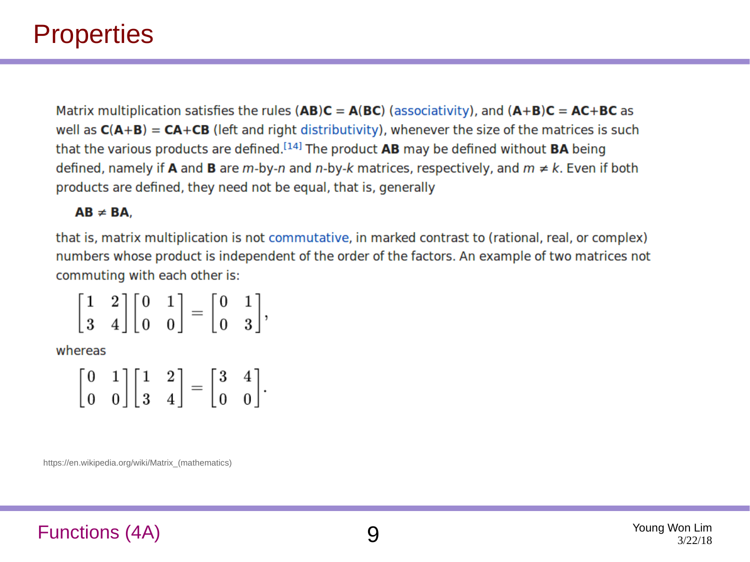### **Properties**

Matrix multiplication satisfies the rules (AB)C =  $A(BC)$  (associativity), and  $(A+B)C = AC+BC$  as well as  $C(A+B) = CA+CB$  (left and right distributivity), whenever the size of the matrices is such that the various products are defined.<sup>[14]</sup> The product  $AB$  may be defined without  $BA$  being defined, namely if **A** and **B** are m-by-n and n-by-k matrices, respectively, and  $m \neq k$ . Even if both products are defined, they need not be equal, that is, generally

#### $AB \neq BA$ .

that is, matrix multiplication is not commutative, in marked contrast to (rational, real, or complex) numbers whose product is independent of the order of the factors. An example of two matrices not commuting with each other is:

$$
\left[\begin{matrix}1&2\\3&4\end{matrix}\right]\left[\begin{matrix}0&1\\0&0\end{matrix}\right]=\left[\begin{matrix}0&1\\0&3\end{matrix}\right],
$$

whereas

|  |  |  | $\begin{bmatrix} 0 & 1 \\ 0 & 0 \end{bmatrix} \begin{bmatrix} 1 & 2 \\ 3 & 4 \end{bmatrix} = \begin{bmatrix} 3 & 4 \\ 0 & 0 \end{bmatrix}.$ |
|--|--|--|---------------------------------------------------------------------------------------------------------------------------------------------|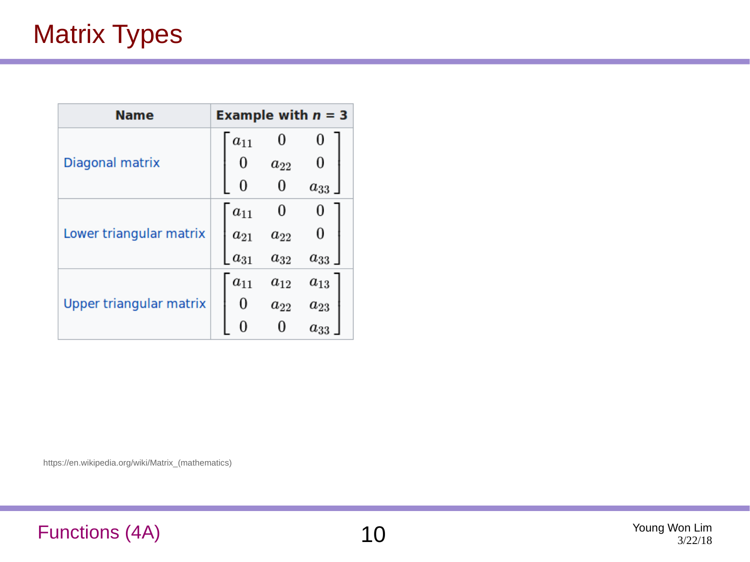| <b>Name</b>             | Example with $n = 3$ |          |                    |  |
|-------------------------|----------------------|----------|--------------------|--|
|                         | $a_{11}$             |          |                    |  |
| Diagonal matrix         | 0                    | $a_{22}$ |                    |  |
|                         |                      |          | $a_{33}$ .         |  |
|                         | $a_{11}$             |          |                    |  |
| Lower triangular matrix | $a_{21}$             | $a_{22}$ |                    |  |
|                         | $a_{31}$             | $a_{32}$ | $a_{33}$ $\rfloor$ |  |
|                         | $a_{11}$             | $a_{12}$ | $a_{13}$           |  |
| Upper triangular matrix |                      | $a_{22}$ | $a_{23}$           |  |
|                         |                      |          | $a_{33}$           |  |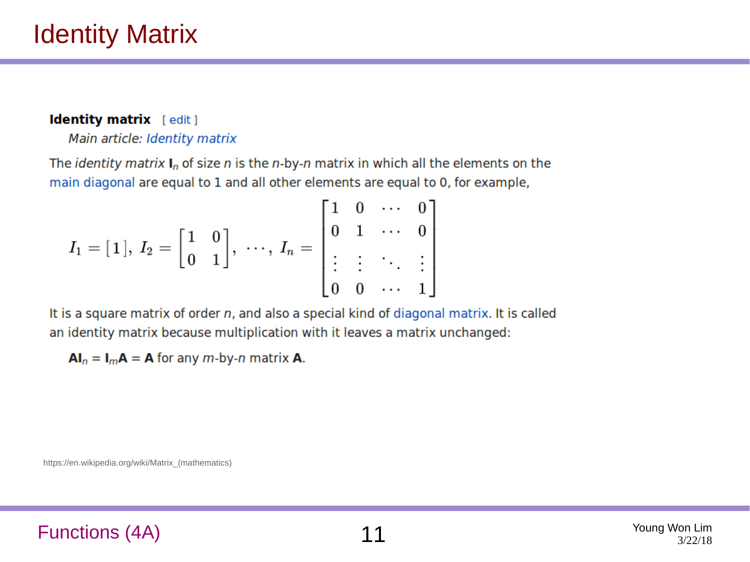#### Identity matrix [edit]

Main article: Identity matrix

The *identity matrix*  $I_n$  of size *n* is the *n*-by-*n* matrix in which all the elements on the main diagonal are equal to 1 and all other elements are equal to 0, for example,

$$
I_1=[\,1\,],\ I_2=\begin{bmatrix}1 & 0 \\ 0 & 1\end{bmatrix},\ \cdots,\ I_n=\begin{bmatrix}1 & 0 & \cdots & 0 \\ 0 & 1 & \cdots & 0 \\ \vdots & \vdots & \ddots & \vdots \\ 0 & 0 & \cdots & 1\end{bmatrix}
$$

It is a square matrix of order n, and also a special kind of diagonal matrix. It is called an identity matrix because multiplication with it leaves a matrix unchanged:

 $AI_n = I_m A = A$  for any *m*-by-*n* matrix **A**.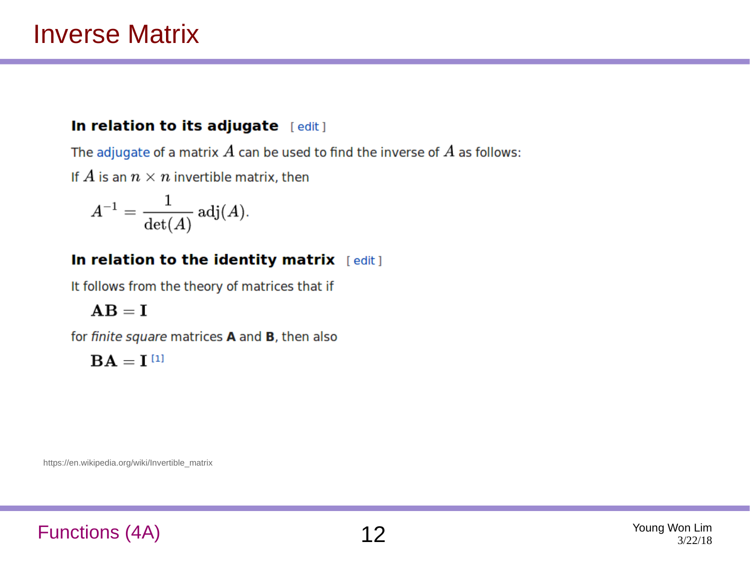#### In relation to its adjugate [edit]

The adjugate of a matrix  $A$  can be used to find the inverse of  $A$  as follows:

If A is an  $n \times n$  invertible matrix, then

$$
A^{-1} = \frac{1}{\det(A)} \operatorname{adj}(A).
$$

#### In relation to the identity matrix [edit]

It follows from the theory of matrices that if

#### $AB = I$

for finite square matrices A and B, then also

 $BA = I<sup>[1]</sup>$ 

https://en.wikipedia.org/wiki/Invertible\_matrix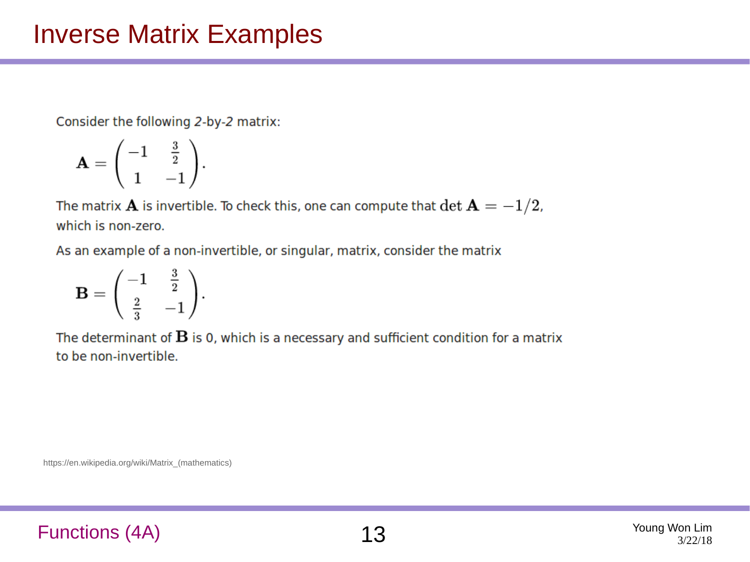Consider the following 2-by-2 matrix:

$$
\mathbf{A} = \begin{pmatrix} -1 & \frac{3}{2} \\ 1 & -1 \end{pmatrix}.
$$

The matrix  $\bf A$  is invertible. To check this, one can compute that  $\det{\bf A}=-1/2$ , which is non-zero.

As an example of a non-invertible, or singular, matrix, consider the matrix

$$
\mathbf{B} = \begin{pmatrix} -1 & \frac{3}{2} \\ \frac{2}{3} & -1 \end{pmatrix}.
$$

The determinant of  $\bf{B}$  is 0, which is a necessary and sufficient condition for a matrix to be non-invertible.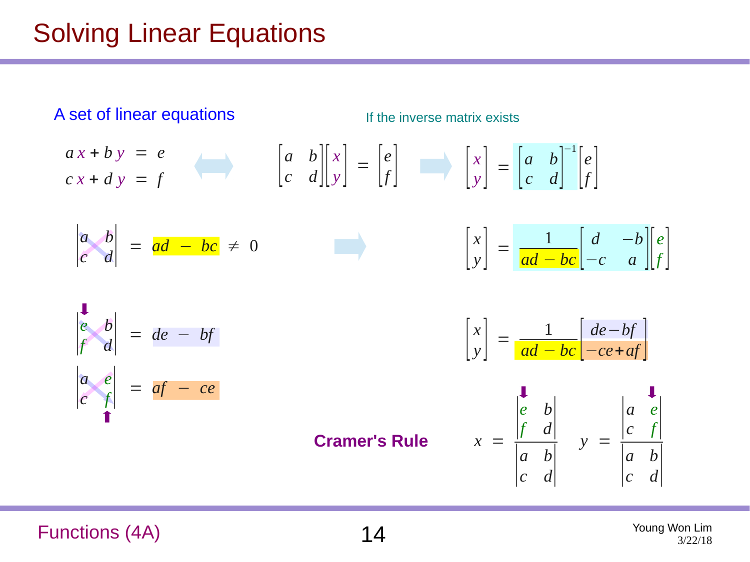## Solving Linear Equations

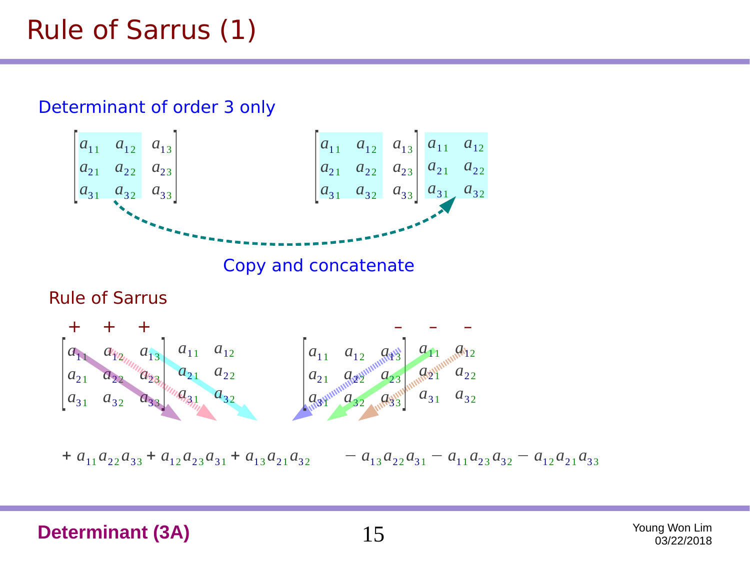# Rule of Sarrus (1)



#### **Determinant (3A)** 15 Young Won Lim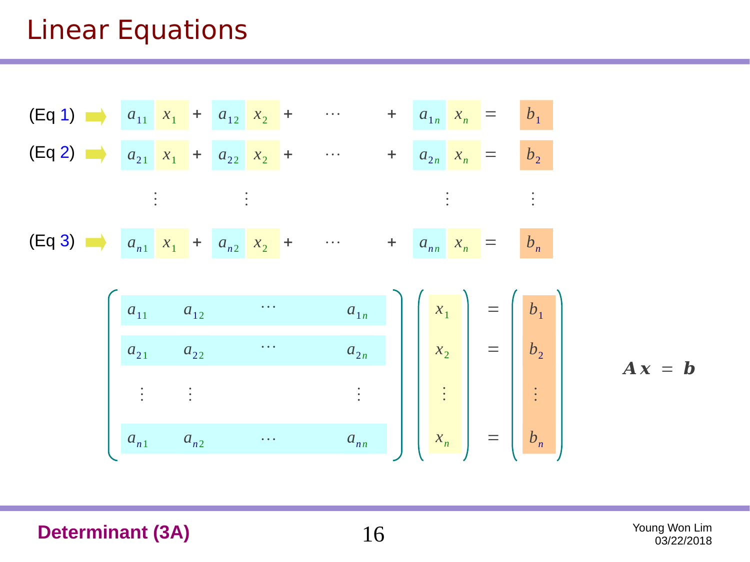# Linear Equations

(Eq 1)

\n
$$
a_{11} x_1 + a_{12} x_2 + \cdots + a_{1n} x_n = b_1
$$
\n(Eq 2)

\n
$$
a_{21} x_1 + a_{22} x_2 + \cdots + a_{2n} x_n = b_2
$$
\n
$$
\vdots \qquad \vdots
$$
\n(Eq 3)

\n
$$
a_{n1} x_1 + a_{n2} x_2 + \cdots + a_{nn} x_n = b_n
$$
\n
$$
a_{n1} a_{12} \cdots a_{1n}
$$
\n
$$
a_{21} a_{22} \cdots a_{2n}
$$
\n
$$
\vdots \qquad \vdots \qquad \vdots
$$
\n
$$
a_{n1} a_{n2} \cdots a_{nn}
$$
\n
$$
a_{nn}
$$
\n
$$
a_{nn}
$$
\n
$$
a_{nn}
$$
\n
$$
a_{nn}
$$
\n
$$
a_{nn}
$$
\n
$$
a_{nn}
$$
\n
$$
a_{nn}
$$
\n
$$
a_{nn}
$$
\n
$$
a_{nn}
$$
\n
$$
a_{nn}
$$
\n
$$
a_{nn}
$$
\n
$$
a_{nn}
$$
\n
$$
a_{nn}
$$
\n
$$
a_{nn}
$$
\n
$$
a_{nn}
$$

 $A x = b$ 

**Determinant (3A)** 16 Young Won Lim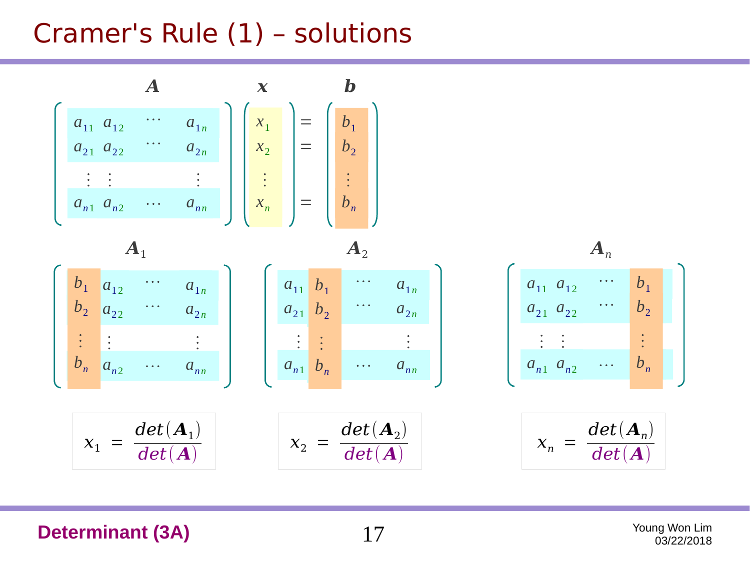# Cramer's Rule (1) – solutions

 $a_{11}$   $a_{12}$   $a_{1n}$  $a_{21}$   $a_{22}$   $a_{2n}$  $a_{n1}$   $a_{n2}$   $\cdots$   $a_{nn}$  $\frac{1}{2}$  ,  $\frac{1}{2}$  ,  $\frac{1}{2}$  ,  $\frac{1}{2}$  ,  $\frac{1}{2}$  ,  $\frac{1}{2}$  ,  $\frac{1}{2}$  ,  $\frac{1}{2}$  ,  $\frac{1}{2}$  ,  $\frac{1}{2}$  ,  $\frac{1}{2}$  ,  $\frac{1}{2}$  ,  $\frac{1}{2}$  ,  $\frac{1}{2}$  ,  $\frac{1}{2}$  ,  $\frac{1}{2}$  ,  $\frac{1}{2}$  ,  $\frac{1}{2}$  ,  $\frac{1$ … … … *x*1 *x*2 *xn*  $\ddot{\cdot}$  $=$   $\begin{array}{|c|c|}$   $b_1$  $=$   $\begin{array}{|c|c|}$   $b_2$  $=$   $\begin{array}{|c|c|}$   $b_n$  $b_1$ <br> $b_2$ <br> $\vdots$ *A*  $b_1$   $a_{12}$   $a_{1n}$  $b_2$   $a_{22}$  <sup>...</sup>  $a_{2n}$  $\frac{1}{2}$   $\frac{1}{2}$   $\frac{1}{2}$   $\frac{1}{2}$   $\frac{1}{2}$   $\frac{1}{2}$   $\frac{1}{2}$   $\frac{1}{2}$   $\frac{1}{2}$   $\frac{1}{2}$   $\frac{1}{2}$   $\frac{1}{2}$   $\frac{1}{2}$   $\frac{1}{2}$   $\frac{1}{2}$   $\frac{1}{2}$   $\frac{1}{2}$   $\frac{1}{2}$   $\frac{1}{2}$   $\frac{1}{2}$   $\frac{1}{2}$   $\frac{1}{2}$  … …  $a_{11}$   $b_1$  $a_{1n}$  $a_{21}$   $b_2$  $a_{2n}$  $\frac{1}{2}$   $\frac{1}{2}$   $\frac{1}{2}$   $\frac{1}{2}$   $\frac{1}{2}$   $\frac{1}{2}$   $\frac{1}{2}$   $\frac{1}{2}$   $\frac{1}{2}$   $\frac{1}{2}$   $\frac{1}{2}$   $\frac{1}{2}$   $\frac{1}{2}$   $\frac{1}{2}$   $\frac{1}{2}$   $\frac{1}{2}$   $\frac{1}{2}$   $\frac{1}{2}$   $\frac{1}{2}$   $\frac{1}{2}$   $\frac{1}{2}$   $\frac{1}{2}$  … …  $b_1$  $b<sub>2</sub>$  $\ddot{\cdot}$  $b<sub>1</sub>$  $b<sub>2</sub>$  $\ddot{\cdot}$ *x b*  $A_1$   $A_2$   $A_n$ 

 $a_{n1}$   $b_n$ 

 $x_2 =$ 

*bn*

$$
\begin{bmatrix}\n & & A_n \\
a_{11} & a_{12} & \cdots & b_1 \\
a_{21} & a_{22} & \cdots & b_2 \\
\vdots & \vdots & & \vdots \\
a_{n1} & a_{n2} & \cdots & b_n\n\end{bmatrix}
$$

$$
x_n = \frac{det(\mathbf{A}_n)}{det(\mathbf{A})}
$$

#### **Determinant (3A)** 17 Young Won Lim

 $x_1 =$ 

 $b_n$   $a_{n2}$   $\cdots$   $a_{nn}$ 

*bn*

…

 $det$ 

 $\boldsymbol{det}(\boldsymbol{A}_1)$ 

*a<sup>n</sup> <sup>n</sup>*

)

 $\dots$ 

 $det(\mathbf{A}_2)$ 

*det* ( *A*)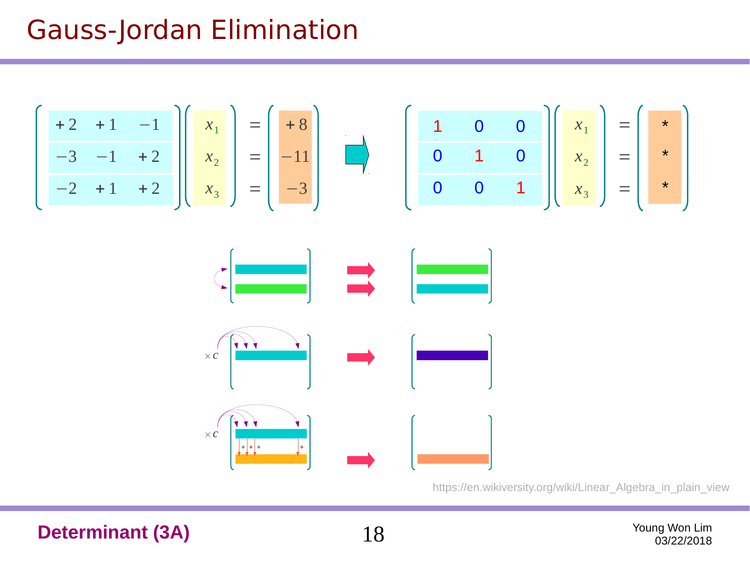# Gauss-Jordan Elimination





https://en.wikiversity.org/wiki/Linear\_Algebra\_in\_plain\_view

**Determinant (3A)** 18 Young Won Lim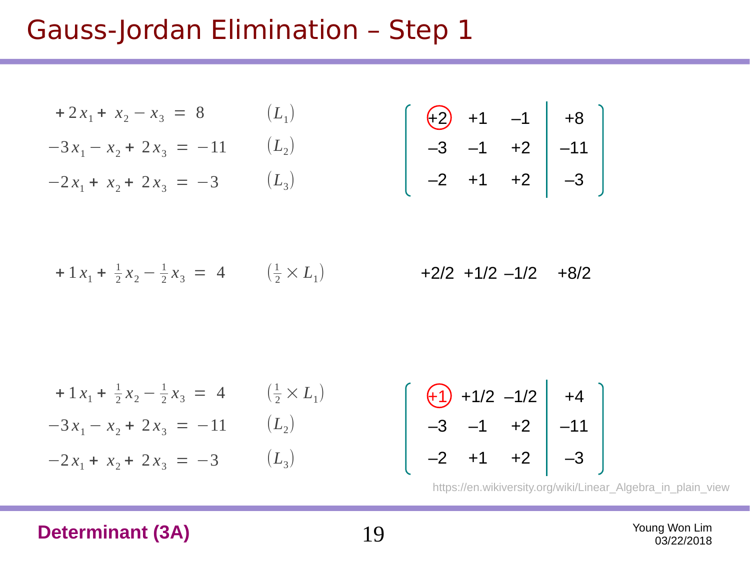$(L_{3})$ 

$$
+2x_1 + x_2 - x_3 = 8 \qquad (L_1)
$$
  

$$
-3x_1 - x_2 + 2x_3 = -11 \qquad (L_2)
$$

 $-2x_1 + x_2 + 2x_3 = -3$ 

$$
\left[\begin{array}{cccc} \left(\frac{1}{2}\right) & +1 & -1 & | & +8 \\ -3 & -1 & +2 & | & -11 \\ -2 & +1 & +2 & | & -3 \end{array}\right]
$$

+ 1  $x_1$  +  $\frac{1}{2}x_2 - \frac{1}{2}x_3 = 4$   $(\frac{1}{2} \times L_1)$  + 2/2 + 1/2 - 1/2 + 8/2  $\frac{1}{2}x_3 = 4$   $(\frac{1}{2} \times L_1)$ 

$$
+ 1x_1 + \frac{1}{2}x_2 - \frac{1}{2}x_3 = 4 \qquad (\frac{1}{2} \times L_1)
$$
  

$$
-3x_1 - x_2 + 2x_3 = -11 \qquad (L_2)
$$
  

$$
-2x_1 + x_2 + 2x_3 = -3 \qquad (L_3)
$$

$$
\begin{bmatrix} 41 & +1/2 & -1/2 & +4 \ -3 & -1 & +2 & -11 \ -2 & +1 & +2 & -3 \end{bmatrix}
$$

https://en.wikiversity.org/wiki/Linear\_Algebra\_in\_plain\_view

#### **Determinant (3A)** 19 Young Won Lim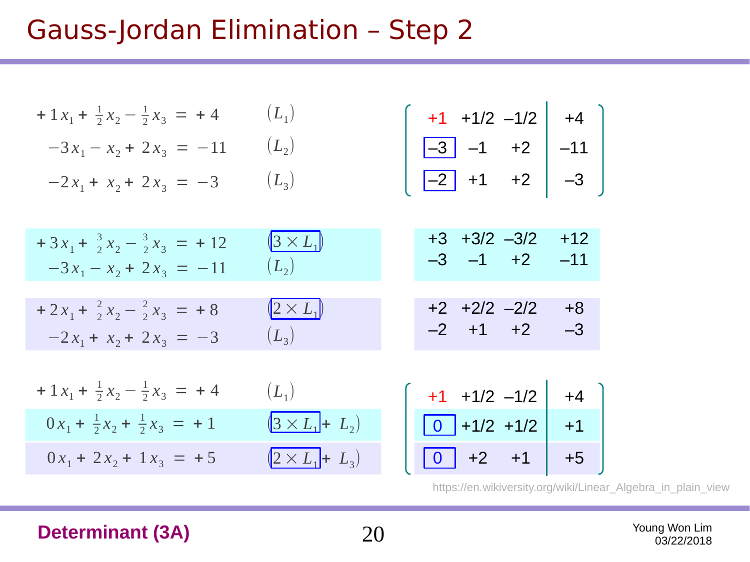| + $1x_1$ + $\frac{1}{2}x_2 - \frac{1}{2}x_3 = +4$                             | $(L_1)$                                  | $\begin{vmatrix} +1 & +1/2 & -1/2 \end{vmatrix}$ +4                                                    |
|-------------------------------------------------------------------------------|------------------------------------------|--------------------------------------------------------------------------------------------------------|
| $-3x_1 - x_2 + 2x_3 = -11$                                                    | $(L_{2})$                                |                                                                                                        |
| $-2x_1 + x_2 + 2x_3 = -3$                                                     | $(L_3)$                                  | $\begin{array}{ c c c c }\n\hline -3 & -1 & +2 & -11 \\ \hline -2 & +1 & +2 & -3\n\end{array}$<br>$-3$ |
| $+3x_1 + \frac{3}{2}x_2 - \frac{3}{2}x_3 = +12$<br>$-3x_1 - x_2 + 2x_3 = -11$ | $(3 \times L_1)$<br>$(L_{2})$            | $+3$ $+3/2$ $-3/2$<br>$+12$<br>$-3$ $-1$ $+2$<br>$-11$                                                 |
| $+2x_1 + \frac{2}{2}x_2 - \frac{2}{2}x_3 = +8$<br>$-2x_1 + x_2 + 2x_3 = -3$   | $\left(2 \times L_1\right)$<br>$(L_{3})$ | $+2$ $+2/2$ $-2/2$<br>$+8$<br>$-2$ +1 +2<br>$-3$                                                       |
| + $1x_1$ + $\frac{1}{2}x_2 - \frac{1}{2}x_3 = +4$                             | $(L_1)$                                  | $+1$ $+1/2$ $-1/2$<br>$+4$                                                                             |
| $0x_1 + \frac{1}{2}x_2 + \frac{1}{2}x_3 = +1$                                 | $(3 \times L_1 + L_2)$                   | $\boxed{0}$ +1/2 +1/2<br>$+1$                                                                          |
| $0x_1 + 2x_2 + 1x_3 = +5$                                                     | $(2 \times L_1 + L_3)$                   | $\boxed{0}$ +2 +1<br>$+5$                                                                              |

https://en.wikiversity.org/wiki/Linear\_Algebra\_in\_plain\_view

#### **Determinant (3A)** 20 Young Won Lim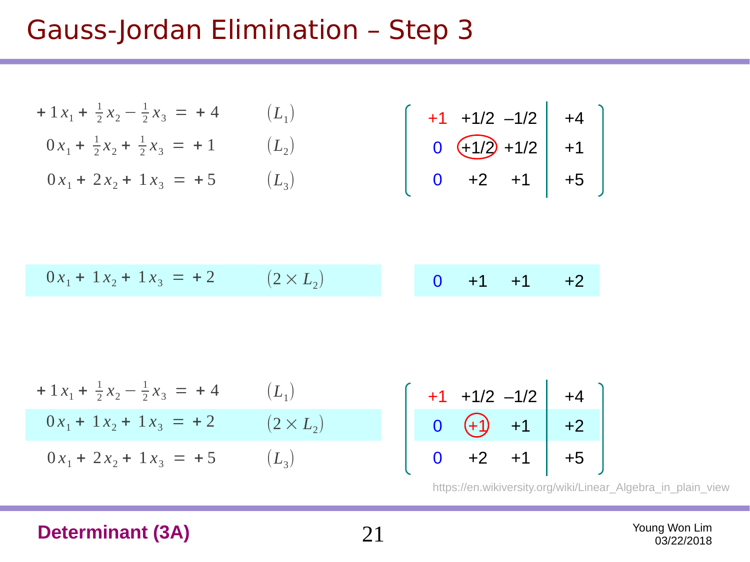$$
+1 x1 + \frac{1}{2} x2 - \frac{1}{2} x3 = +4
$$
  
\n
$$
0 x1 + \frac{1}{2} x2 + \frac{1}{2} x3 = +1
$$
  
\n
$$
0 x1 + 2 x2 + 1 x3 = +5
$$
  
\n
$$
0 x1 + 2 x2 + 1 x3 = +5
$$
  
\n
$$
(L1)
$$
  
\n
$$
0 \overline{+1/2} + 1/2
$$
  
\n
$$
0 + 2 +1
$$
  
\n
$$
0 +2 +1
$$
  
\n
$$
+1
$$
  
\n
$$
+1/2 -1/2
$$
  
\n
$$
+1/2 +1/2
$$
  
\n
$$
+1/2 +1/2
$$
  
\n
$$
+1/2 +1/2 +1/2
$$
  
\n
$$
+1/2 +1/2 +1/2 +1/2 +1/2
$$
  
\n
$$
+1/2 +1/2 +1/2 +1/2 +1/2 +1/2 +1/2
$$

| $0x_1 + 1x_2 + 1x_3 = +2$ | $(2 \times L_2)$<br>$0 +1 +1 +2$ |  |
|---------------------------|----------------------------------|--|
|---------------------------|----------------------------------|--|

$$
+1 x1 + \frac{1}{2} x2 - \frac{1}{2} x3 = +4
$$
  
\n
$$
0 x1 + 1 x2 + 1 x3 = +2
$$
  
\n
$$
0 x1 + 2 x2 + 1 x3 = +5
$$
  
\n
$$
(L1)
$$
  
\n
$$
(L2)
$$
  
\n
$$
L3)
$$
  
\n
$$
+1 + 1/2 - 1/2 + 1
$$
  
\n
$$
+1/2 - 1/2 + 1 + 1/2 - 1/2 + 1 + 2
$$
  
\n
$$
+1/2 - 1/2 + 1 + 1/2 - 1/2 + 1 + 2
$$
  
\n
$$
+1/2 - 1/2 + 1 + 1/2 - 1/2 + 1 + 2
$$
  
\n
$$
+1/2 - 1/2 + 1 + 1/2 - 1/2 + 1 + 2
$$

https://en.wikiversity.org/wiki/Linear\_Algebra\_in\_plain\_view

#### **Determinant (3A)** 21 Young Won Lim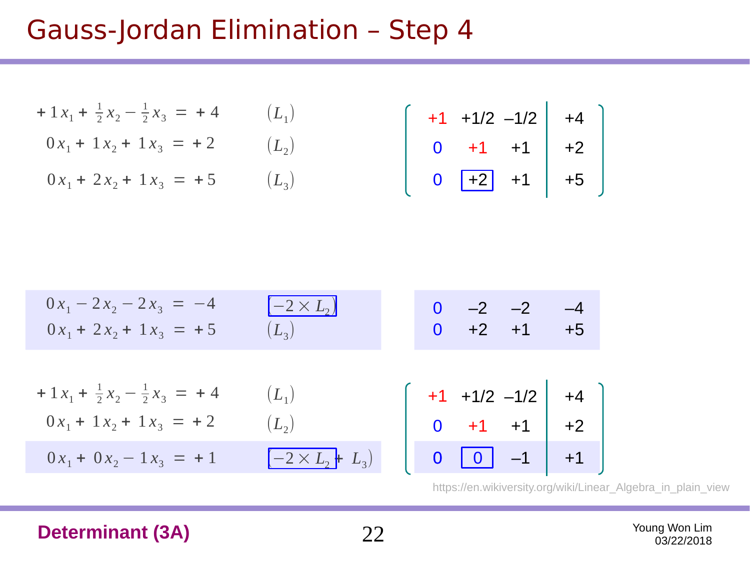$$
+ 1 x1 + \frac{1}{2} x2 - \frac{1}{2} x3 = + 4 \t (L1)
$$
  
0 x<sub>1</sub> + 1 x<sub>2</sub> + 1 x<sub>3</sub> = +2 \t (L<sub>2</sub>)

 $0 x_1 + 2 x_2 + 1 x_3 = +5$  $(L_{3})$ 

$$
\begin{bmatrix} +1 & +1/2 & -1/2 & +4 \ 0 & +1 & +1 & +2 \ 0 & \boxed{-2} & +1 & +5 \end{bmatrix}
$$

$$
0x_1 - 2x_2 - 2x_3 = -4
$$
  
\n
$$
0x_1 + 2x_2 + 1x_3 = +5
$$
  
\n
$$
+1x_1 + \frac{1}{2}x_2 - \frac{1}{2}x_3 = +4
$$
  
\n
$$
0x_1 + 1x_2 + 1x_3 = +2
$$
  
\n
$$
0x_1 + 0x_2 - 1x_3 = +1
$$
  
\n
$$
0x_1 + 2x_2 - \frac{1}{2}x_3 = +4
$$
  
\n
$$
0x_1 + 2x_2 - \frac{1}{2}x_3 = +4
$$
  
\n
$$
0x_1 + 2x_2 - \frac{1}{2}x_3 = +2
$$
  
\n
$$
0x_1 + 2x_2 - 1x_3 = +1
$$
  
\n
$$
0x_1 + 2x_2 - 1x_3 = +1
$$
  
\n
$$
0x_1 + 2x_2 - 1x_3 = +1
$$
  
\n
$$
0x_1 + 2x_2 - 1x_3 = +1
$$
  
\n
$$
0x_1 + 2x_2 - 1x_3 = +1
$$
  
\n
$$
0x_1 + 2x_2 - 1x_3 = +1
$$
  
\n
$$
0x_1 + 2x_2 - 1x_3 = +1
$$
  
\n
$$
0x_1 + 2x_2 - 1x_3 = +1
$$
  
\n
$$
0x_1 + 2x_2 - 1x_3 = +1
$$
  
\n
$$
0x_1 + 2x_2 - 1x_3 = +1
$$
  
\n
$$
0x_1 + 2x_2 - 1x_3 = +1
$$
  
\n
$$
0x_1 + 2x_2 - 1x_3 = +1
$$
  
\n
$$
0x_1 + 2x_2 - 1x_3 = +1
$$
  
\n
$$
0x_1 + 2x_2 - 1x_3 = +1
$$
  
\n
$$
0x_1 + 2x_2 - 1x_3 = +1
$$
  
\n
$$
0x_1 + 2x_2 - 1x_3 = +1
$$

https://en.wikiversity.org/wiki/Linear\_Algebra\_in\_plain\_view

#### **Determinant (3A)** 22 Young Won Lim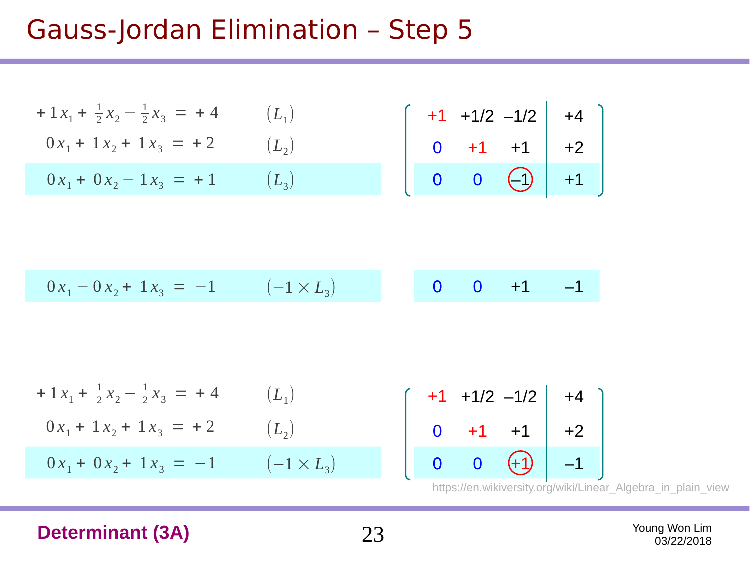$$
+1 x1 + \frac{1}{2} x2 - \frac{1}{2} x3 = +4
$$
  
\n
$$
0 x1 + 1 x2 + 1 x3 = +2
$$
  
\n
$$
0 x1 + 0 x2 - 1 x3 = +1
$$
  
\n
$$
0 x1 + 0 x2 - 1 x3 = +1
$$
  
\n
$$
(L1)
$$
  
\n
$$
L2)
$$
  
\n
$$
0 +1 +1 +1 +2
$$
  
\n
$$
0 0 0 0 +1 +1 +2
$$
  
\n
$$
0 0 0 +1 +1 +2
$$
  
\n
$$
0 0 0 +1 +1 +2
$$

$$
0x_1 - 0x_2 + 1x_3 = -1 \qquad (-1 \times L_3) \qquad \qquad 0 \qquad 0 \qquad +1 \qquad -1
$$

$$
+1 x1 + \frac{1}{2} x2 - \frac{1}{2} x3 = +4
$$
\n
$$
0 x1 + 1 x2 + 1 x3 = +2
$$
\n
$$
0 x1 + 0 x2 + 1 x3 = -1
$$
\n
$$
-1 \times L_3
$$
\n
$$
-1 \times L_4
$$
\n
$$
0 \qquad 0 \qquad 0
$$
\n
$$
0 \qquad 0
$$

$$
\begin{bmatrix} +1 & +1/2 & -1/2 & | & +4 \ 0 & +1 & +1 & | & +2 \ 0 & 0 & +1 & | & -1 \end{bmatrix}
$$

https://en.wikiversity.org/wiki/Linear\_Algebra\_in\_plain\_view

#### **Determinant (3A)** 23 Young Won Lim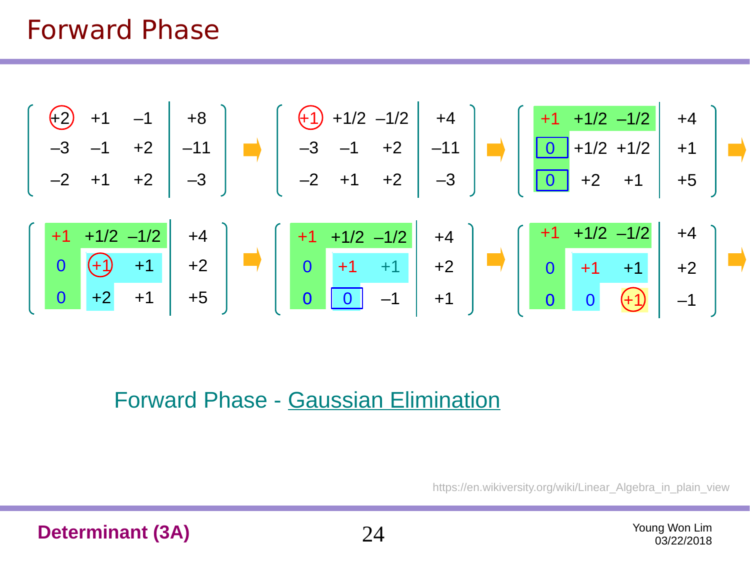# Forward Phase



#### Forward Phase - Gaussian Elimination

https://en.wikiversity.org/wiki/Linear Algebra in plain view

**Determinant (3A)** 24 Young Won Lim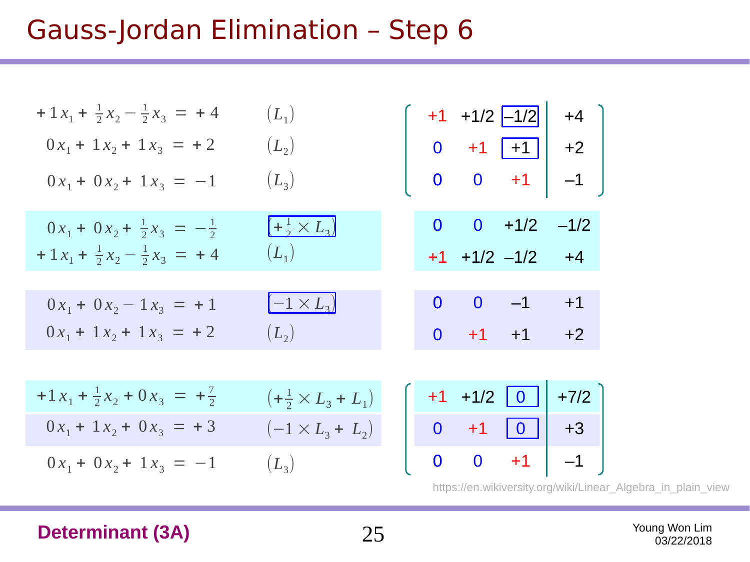| + $1x_1$ + $\frac{1}{2}x_2 - \frac{1}{2}x_3 = +4$ | $(L_{1})$                               |  |                          | $+1$ +1/2 $-1/2$ +4 $\Big]$                                  |
|---------------------------------------------------|-----------------------------------------|--|--------------------------|--------------------------------------------------------------|
| $0x_1 + 1x_2 + 1x_3 = +2$                         | $(L_2)$                                 |  |                          |                                                              |
| $0x_1 + 0x_2 + 1x_3 = -1$                         | $(L_3)$                                 |  |                          | $\begin{bmatrix} 0 & +1 & +1 \\ 0 & 0 & +1 \end{bmatrix}$ +2 |
| $0x_1 + 0x_2 + \frac{1}{2}x_3 = -\frac{1}{2}$     | $\left(+\frac{1}{2}\times L_{3}\right)$ |  | $0 \t 0 \t +1/2 \t -1/2$ |                                                              |
| + $1x_1$ + $\frac{1}{2}x_2 - \frac{1}{2}x_3 = +4$ | $(L_1)$                                 |  | $+1$ $+1/2$ $-1/2$ $+4$  |                                                              |
|                                                   |                                         |  |                          |                                                              |
| $0x_1 + 0x_2 - 1x_3 = +1$                         | $\left(-1\times L_{3}\right)$           |  | $0 \t 0 \t -1$           | $+1$                                                         |
| $0x_1 + 1x_2 + 1x_3 = +2$                         | $(L_2)$                                 |  | $0 +1 +1 +2$             |                                                              |
|                                                   |                                         |  |                          |                                                              |
| $+1x_1 + \frac{1}{2}x_2 + 0x_3 = +\frac{7}{2}$    | $(+\frac{1}{2} \times L_3 + L_1)$       |  | $+1$ +1/2 0              | $+7/2$                                                       |
| $0x_1 + 1x_2 + 0x_3 = +3$                         | $(-1 \times L_3 + L_2)$                 |  |                          | $0 +1$ $0$ +3                                                |
| $0x_1 + 0x_2 + 1x_3 = -1$                         | $(L_3)$                                 |  |                          | $0 \quad 0 \quad +1 \mid -1 \mid$                            |
|                                                   |                                         |  |                          |                                                              |

https://en.wikiversity.org/wiki/Linear\_Algebra\_in\_plain\_view

**Determinant (3A)** 25 Young Won Lim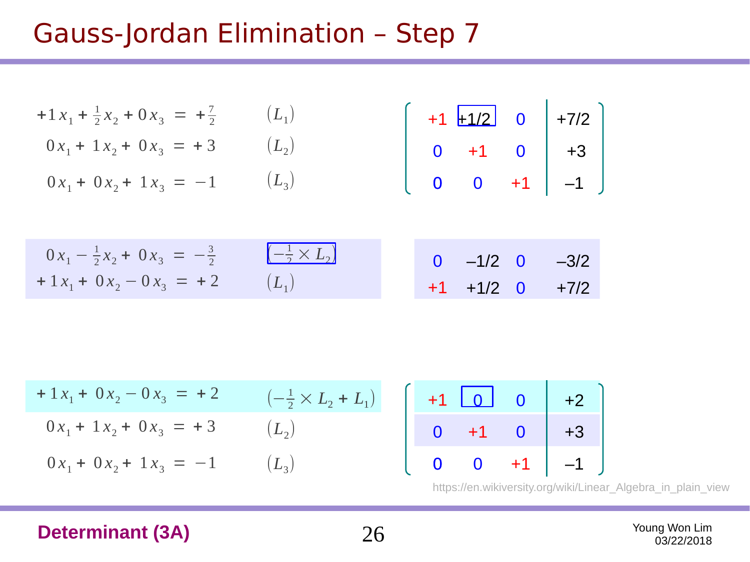$$
+1 x1 + \frac{1}{2} x2 + 0 x3 = + \frac{7}{2} \t(L1) \n0 x1 + 1 x2 + 0 x3 = + 3 \t(L2) \n0 x1 + 0 x2 + 1 x3 = -1 \t(L3) \n0 x1 - \frac{1}{2} x2 + 0 x3 = -\frac{3}{2} \t(\n+1 + 1/2 \n0 0 + 1 0 \n0 0 + 1 -1 \n0 0 -1/2 \n-1/2 \n-1/2 \n-1/2 \n-1/2 \n-1/2 \n-1/2 \n-1/2 \n-1/2 \n-1/2 \n-1/2 \n-1/2 \n-1/2 \n-1/2 \n-1/2 \n-1/2 \n-1/2 \n-1/2 \n-1/2 \n-1/2 \n-1/2 \n-1/2 \n-1/2 \n-1/2 \n-1/2 \n-1/2 \n-1/2 \n-1/2 \n-1/2 \n-1/2 \n-1/2 \n-1/2 \n-1/2 \n-1/2 \n-1/2 \n-1/2 \n-1/2 \n-1/2 \n-1/2 \n-1/2 \n-1/2 \n-1/2 \n-1/2 \n-1/2 \n-1/2 \n-1/2 \n-1/2 \n-1/2 \n-1/2 \n-1/2 \n-1/2 \n-1/2 \n-1/2 \n-1/2 \n-1/2 \n-1/2 \n-1/2 \n-1/2 \n-1/2 \n-1/2 \n-1/2 \n-1/2 \n-1/2 \n-1/2 \n-
$$

$$
+1 x1 + 0 x2 - 0 x3 = +2 \n0 x1 + 1 x2 + 0 x3 = +3 \n0 x1 + 0 x2 + 1 x3 = -1 \n(-1/2 × L2 + L1) \n(L2) \n(L3) \n+1 \n0 +1 0 \n+2 \n0 +1 0 \n+3 \n0 +3 \n0 +1 -1
$$

https://en.wikiversity.org/wiki/Linear\_Algebra\_in\_plain\_view

#### **Determinant (3A)** 26 Young Won Lim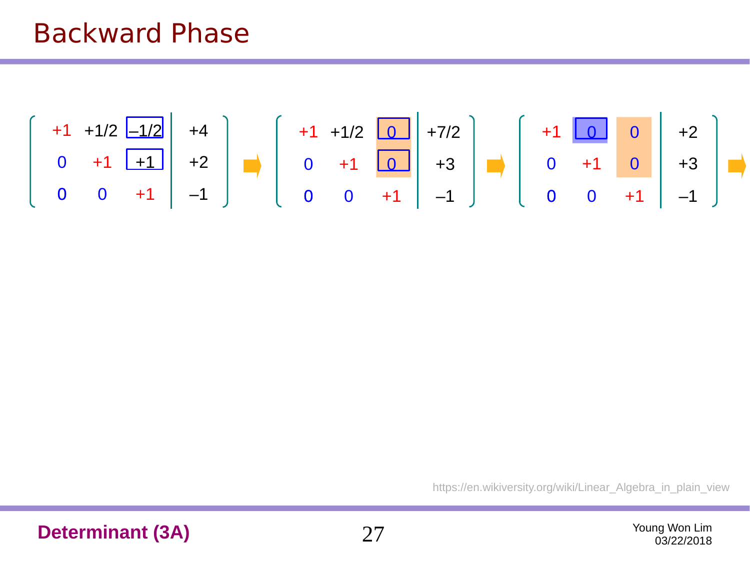## Backward Phase



https://en.wikiversity.org/wiki/Linear\_Algebra\_in\_plain\_view

**Determinant (3A)** 27 Young Won Lim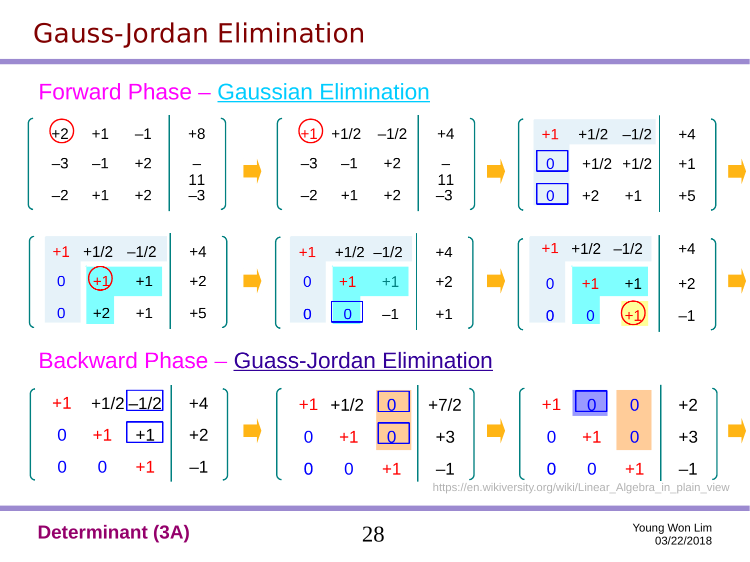# Gauss-Jordan Elimination





Backward Phase – Guass-Jordan Elimination



**Determinant (3A)** 28 Young Won Lim

03/22/2018

–1/2

+4